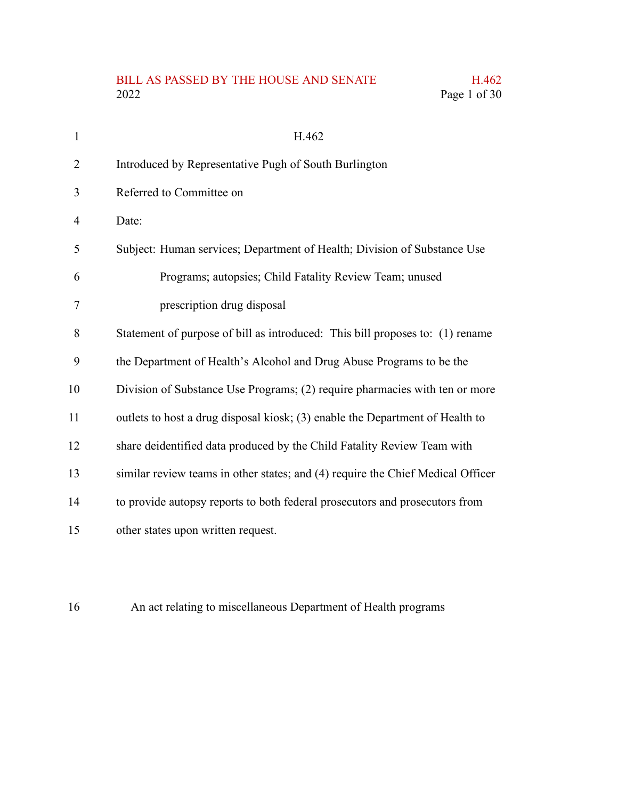# BILL AS PASSED BY THE HOUSE AND SENATE H.462<br>2022 Page 1 of 30 Page 1 of 30

| $\mathbf{1}$   | H.462                                                                           |
|----------------|---------------------------------------------------------------------------------|
| $\overline{2}$ | Introduced by Representative Pugh of South Burlington                           |
| 3              | Referred to Committee on                                                        |
| 4              | Date:                                                                           |
| 5              | Subject: Human services; Department of Health; Division of Substance Use        |
| 6              | Programs; autopsies; Child Fatality Review Team; unused                         |
| 7              | prescription drug disposal                                                      |
| 8              | Statement of purpose of bill as introduced: This bill proposes to: (1) rename   |
| 9              | the Department of Health's Alcohol and Drug Abuse Programs to be the            |
| 10             | Division of Substance Use Programs; (2) require pharmacies with ten or more     |
| 11             | outlets to host a drug disposal kiosk; (3) enable the Department of Health to   |
| 12             | share deidentified data produced by the Child Fatality Review Team with         |
| 13             | similar review teams in other states; and (4) require the Chief Medical Officer |
| 14             | to provide autopsy reports to both federal prosecutors and prosecutors from     |
| 15             | other states upon written request.                                              |

An act relating to miscellaneous Department of Health programs 16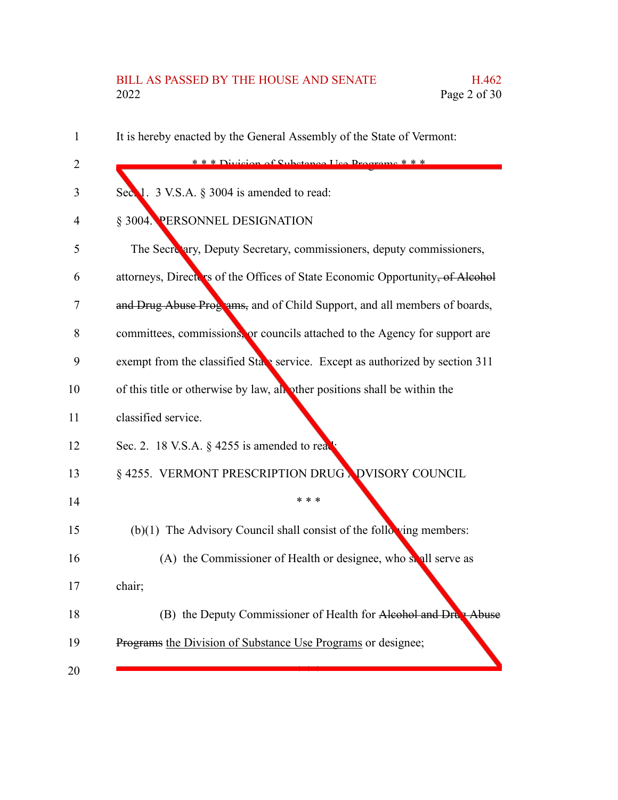# BILL AS PASSED BY THE HOUSE AND SENATE H.462<br>2022 Page 2 of 30 Page 2 of 30

| 1              | It is hereby enacted by the General Assembly of the State of Vermont:         |
|----------------|-------------------------------------------------------------------------------|
| $\overline{2}$ | $* * * Division of Substone IIcon$                                            |
| 3              | Sec. 1. 3 V.S.A. § 3004 is amended to read:                                   |
| 4              | § 3004. PERSONNEL DESIGNATION                                                 |
| 5              | The Secretary, Deputy Secretary, commissioners, deputy commissioners,         |
| 6              | attorneys, Directors of the Offices of State Economic Opportunity, of Alcohol |
| 7              | and Drug Abuse Programs, and of Child Support, and all members of boards,     |
| 8              | committees, commissions, or councils attached to the Agency for support are   |
| 9              | exempt from the classified State service. Except as authorized by section 311 |
| 10             | of this title or otherwise by law, all other positions shall be within the    |
| 11             | classified service.                                                           |
| 12             | Sec. 2. 18 V.S.A. § 4255 is amended to real                                   |
| 13             | § 4255. VERMONT PRESCRIPTION DRUG NDVISORY COUNCIL                            |
| 14             | * * *                                                                         |
| 15             | (b)(1) The Advisory Council shall consist of the following members:           |
| 16             | (A) the Commissioner of Health or designee, who solul serve as                |
| 17             | chair;                                                                        |
| 18             | (B) the Deputy Commissioner of Health for Alcohol and Drug Abuse              |
| 19             | Programs the Division of Substance Use Programs or designee;                  |
| 20             |                                                                               |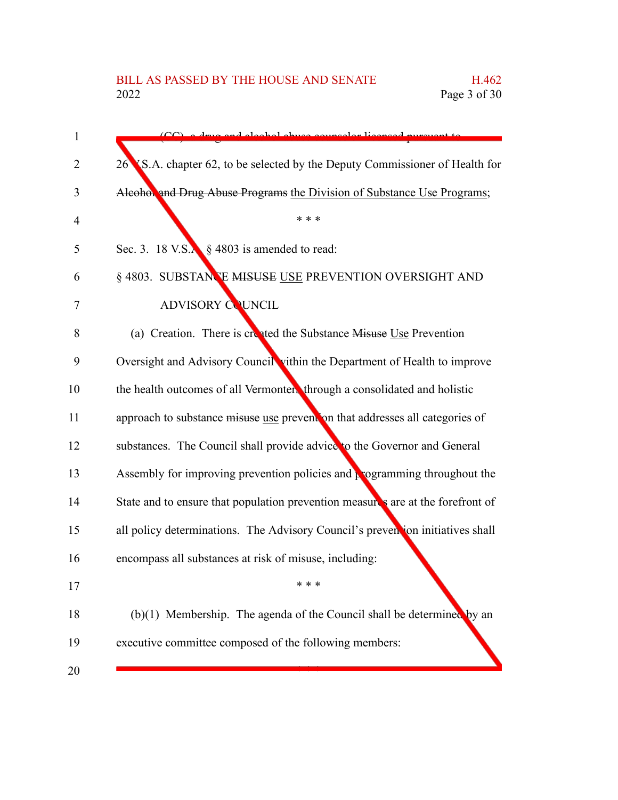| 1  | a and algohol abuse counselor licensed pursuent to                                    |
|----|---------------------------------------------------------------------------------------|
| 2  | S.A. chapter 62, to be selected by the Deputy Commissioner of Health for<br>26        |
| 3  | Alcohol and Drug Abuse Programs the Division of Substance Use Programs;               |
| 4  | * * *                                                                                 |
| 5  | Sec. 3. 18 V.S. $\frac{1}{2}$ \$ 4803 is amended to read:                             |
| 6  | § 4803. SUBSTANCE MISUSE USE PREVENTION OVERSIGHT AND                                 |
| 7  | <b>ADVISORY COUNCIL</b>                                                               |
| 8  | (a) Creation. There is created the Substance Misuse Use Prevention                    |
| 9  | Oversight and Advisory Council vithin the Department of Health to improve             |
| 10 | the health outcomes of all Vermonters through a consolidated and holistic             |
| 11 | approach to substance misuse use prevent on that addresses all categories of          |
| 12 | substances. The Council shall provide advice to the Governor and General              |
| 13 | Assembly for improving prevention policies and $\frac{1}{k}$ ogramming throughout the |
| 14 | State and to ensure that population prevention measures are at the forefront of       |
| 15 | all policy determinations. The Advisory Council's prevention initiatives shall        |
| 16 | encompass all substances at risk of misuse, including:                                |
| 17 |                                                                                       |
| 18 | $(b)(1)$ Membership. The agenda of the Council shall be determined by an              |
| 19 | executive committee composed of the following members:                                |
| 20 |                                                                                       |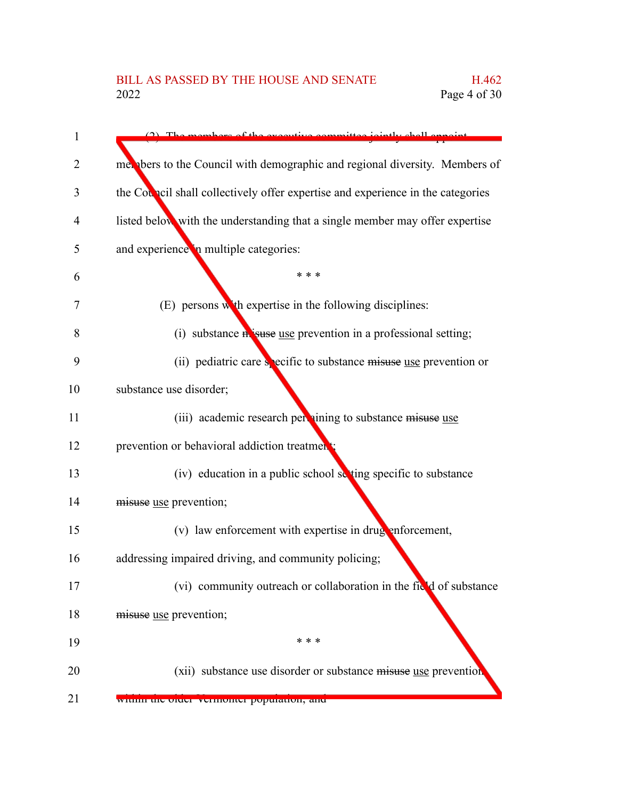| 1  | harge of the executive came<br>للمماء يعلونهم                                   |
|----|---------------------------------------------------------------------------------|
| 2  | met bers to the Council with demographic and regional diversity. Members of     |
| 3  | the Council shall collectively offer expertise and experience in the categories |
| 4  | listed below with the understanding that a single member may offer expertise    |
| 5  | and experience in multiple categories:                                          |
| 6  | * * *                                                                           |
| 7  | (E) persons with expertise in the following disciplines:                        |
| 8  | (i) substance <b>in suse</b> use prevention in a professional setting;          |
| 9  | (ii) pediatric care specific to substance misuse use prevention or              |
| 10 | substance use disorder;                                                         |
| 11 | (iii) academic research per nining to substance misuse use                      |
| 12 | prevention or behavioral addiction treatment                                    |
| 13 | (iv) education in a public school setting specific to substance                 |
| 14 | misuse use prevention;                                                          |
| 15 | (v) law enforcement with expertise in drug enforcement,                         |
| 16 | addressing impaired driving, and community policing;                            |
| 17 | (vi) community outreach or collaboration in the field of substance              |
| 18 | misuse use prevention;                                                          |
| 19 | * * *                                                                           |
| 20 | (xii) substance use disorder or substance misuse use prevention                 |
| 21 | within the order vermonter population, and                                      |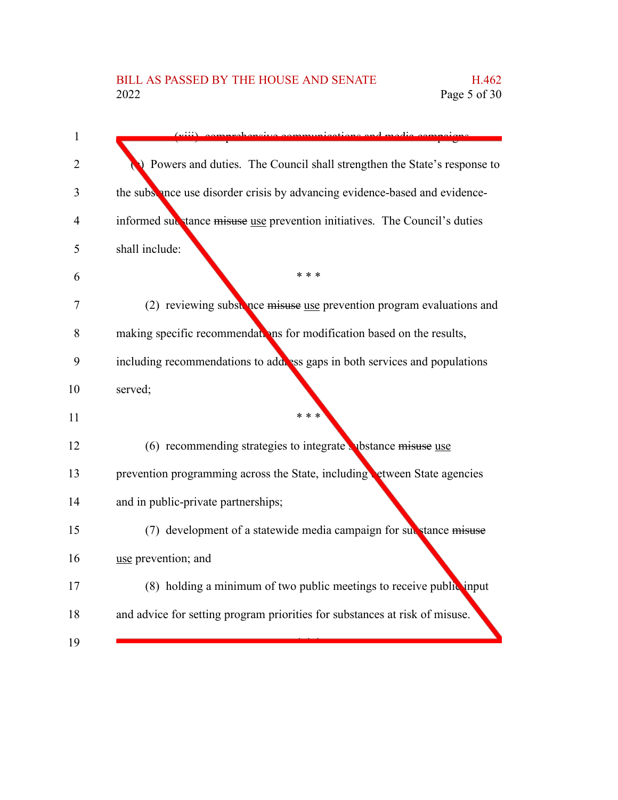| $\mathbf{1}$   |                                                                             |
|----------------|-----------------------------------------------------------------------------|
| 2              | Powers and duties. The Council shall strengthen the State's response to     |
| 3              | the subsence use disorder crisis by advancing evidence-based and evidence-  |
| $\overline{4}$ | informed substance misuse use prevention initiatives. The Council's duties  |
| 5              | shall include:                                                              |
| 6              | * * *                                                                       |
| 7              | (2) reviewing substance misuse use prevention program evaluations and       |
| 8              | making specific recommendations for modification based on the results,      |
| 9              | including recommendations to add ess gaps in both services and populations  |
| 10             | served;                                                                     |
| 11             | * * *                                                                       |
| 12             | $(6)$ recommending strategies to integrate whistance misuse use             |
| 13             | prevention programming across the State, including etween State agencies    |
| 14             | and in public-private partnerships;                                         |
| 15             | (7) development of a statewide media campaign for substance misuse          |
| 16             | use prevention; and                                                         |
| 17             | (8) holding a minimum of two public meetings to receive public input        |
| 18             | and advice for setting program priorities for substances at risk of misuse. |
| 19             |                                                                             |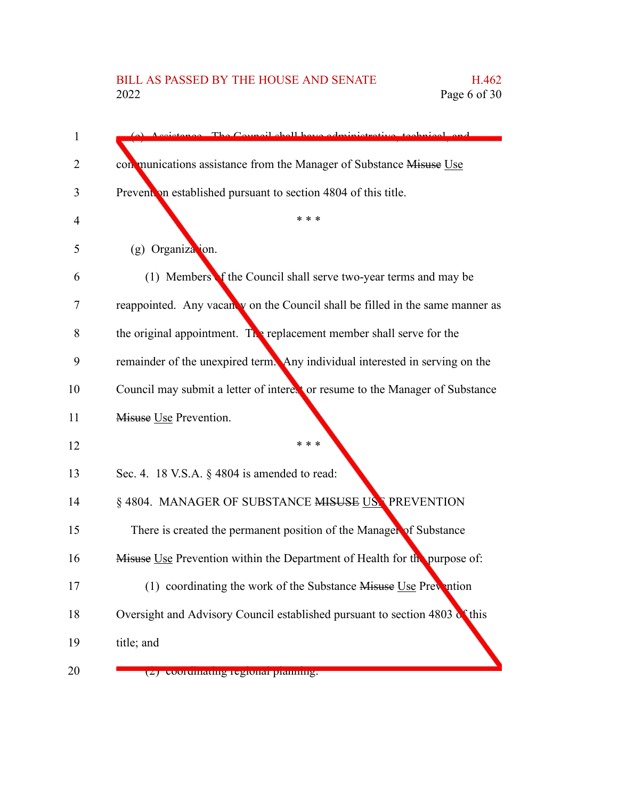# BILL AS PASSED BY THE HOUSE AND SENATE H.462<br>2022 Page 6 of 30

| 1  | stance The Council shall have edministrative tools                            |
|----|-------------------------------------------------------------------------------|
| 2  | con munications assistance from the Manager of Substance Misuse Use           |
| 3  | Prevent on established pursuant to section 4804 of this title.                |
| 4  | * * *                                                                         |
| 5  | $(g)$ Organization.                                                           |
| 6  | (1) Members of the Council shall serve two-year terms and may be              |
| 7  | reappointed. Any vacanty on the Council shall be filled in the same manner as |
| 8  | the original appointment. The replacement member shall serve for the          |
| 9  | remainder of the unexpired term. Any individual interested in serving on the  |
| 10 | Council may submit a letter of interest or resume to the Manager of Substance |
| 11 | Misuse Use Prevention.                                                        |
| 12 | * * *                                                                         |
| 13 | Sec. 4. 18 V.S.A. § 4804 is amended to read:                                  |
| 14 | § 4804. MANAGER OF SUBSTANCE MISUSE USE PREVENTION                            |
| 15 | There is created the permanent position of the Manager of Substance           |
| 16 | Misuse Use Prevention within the Department of Health for the purpose of:     |
| 17 | (1) coordinating the work of the Substance Misuse Use Prevention              |
| 18 | Oversight and Advisory Council established pursuant to section 4803 of this   |
| 19 | title; and                                                                    |
| 20 | (2) coorumaung regional planning.                                             |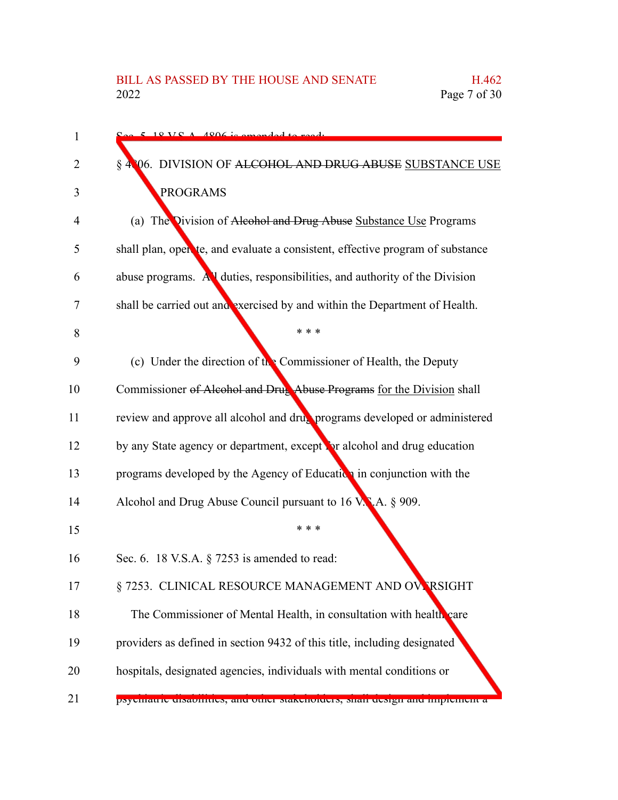| 1  | $\sim$ 5 19 VC A $\sim$ 1906 is amonded to ready                               |
|----|--------------------------------------------------------------------------------|
| 2  | § 4806. DIVISION OF ALCOHOL AND DRUG ABUSE SUBSTANCE USE                       |
| 3  | <b>PROGRAMS</b>                                                                |
| 4  | (a) The Division of Alcohol and Drug Abuse Substance Use Programs              |
| 5  | shall plan, open te, and evaluate a consistent, effective program of substance |
| 6  | abuse programs. All duties, responsibilities, and authority of the Division    |
| 7  | shall be carried out and exercised by and within the Department of Health.     |
| 8  | * * *                                                                          |
| 9  | (c) Under the direction of the Commissioner of Health, the Deputy              |
| 10 | Commissioner of Alcohol and Drug Abuse Programs for the Division shall         |
| 11 | review and approve all alcohol and drug programs developed or administered     |
| 12 | by any State agency or department, except for alcohol and drug education       |
| 13 | programs developed by the Agency of Education in conjunction with the          |
| 14 | Alcohol and Drug Abuse Council pursuant to 16 V.N.A. § 909.                    |
| 15 | * * *                                                                          |
| 16 | Sec. 6. 18 V.S.A. $\S$ 7253 is amended to read:                                |
| 17 | § 7253. CLINICAL RESOURCE MANAGEMENT AND OVERSIGHT                             |
| 18 | The Commissioner of Mental Health, in consultation with health care            |
| 19 | providers as defined in section 9432 of this title, including designated       |
| 20 | hospitals, designated agencies, individuals with mental conditions or          |
| 21 | рхуспіанте сизалиннез, ане опісі максионесть, міан есмен ане пирісністі а      |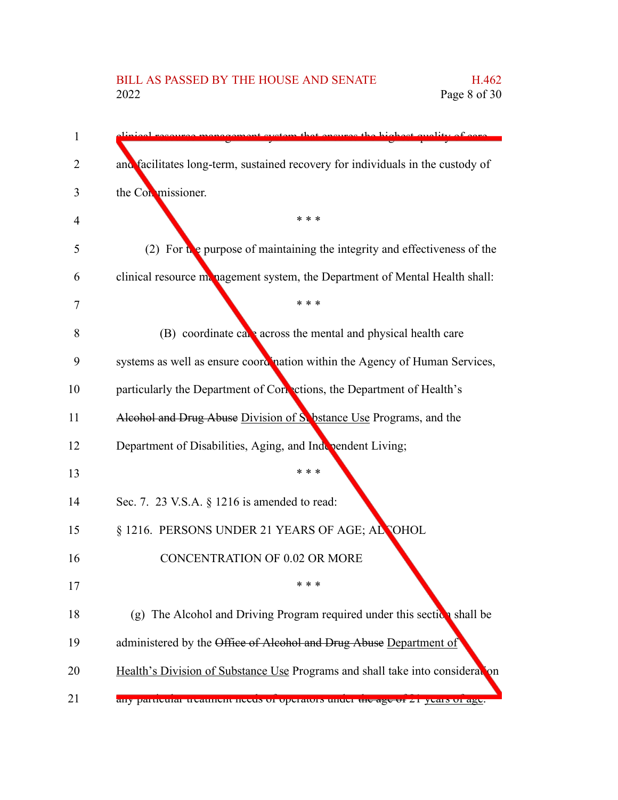## BILL AS PASSED BY THE HOUSE AND SENATE H.462 2022 Page 8 of 30

the highest quality and facilitates long-term, sustained recovery for individuals in the custody of the Commissioner. \* \* \* (2) For  $\mathbf{t}$  be purpose of maintaining the integrity and effectiveness of the clinical resource management system, the Department of Mental Health shall: \* \* \* (B) coordinate care across the mental and physical health care systems as well as ensure coordination within the Agency of Human Services, particularly the Department of Corrections, the Department of Health's Alcohol and Drug Abuse Division of Substance Use Programs, and the Department of Disabilities, Aging, and Independent Living; \* \* \* Sec. 7. 23 V.S.A. § 1216 is amended to read: § 1216. PERSONS UNDER 21 YEARS OF AGE; ALCOHOL CONCENTRATION OF 0.02 OR MORE \* \* \* (g) The Alcohol and Driving Program required under this section shall be administered by the Office of Alcohol and Drug Abuse Department of Health's Division of Substance Use Programs and shall take into consideration any particular treatment needs of operators under the age of 21 years of age. 1 2 3 4 5 6 7 8 9 10 11 12 13 14 15 16 17 18 19 20 21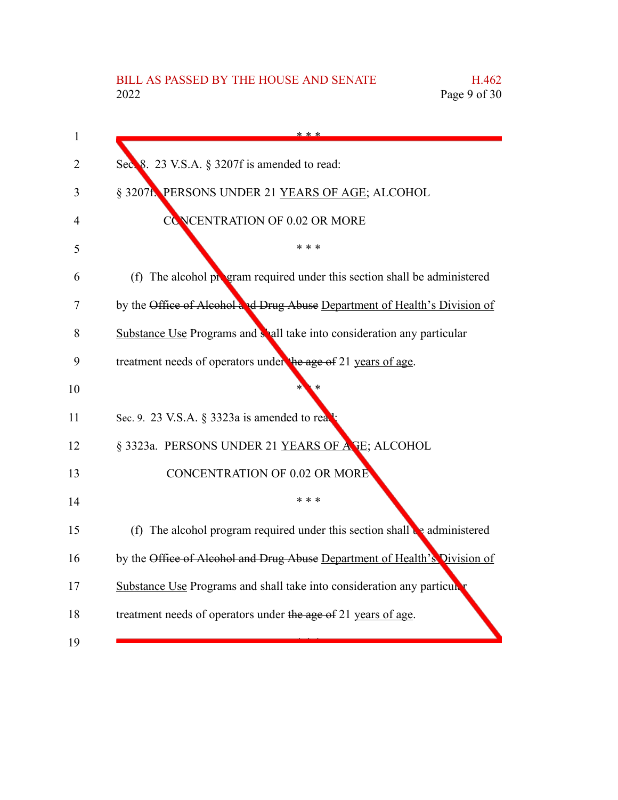| 1  | * * *                                                                                 |
|----|---------------------------------------------------------------------------------------|
| 2  | Sec. 8. 23 V.S.A. § 3207f is amended to read:                                         |
| 3  | § 3207f. PERSONS UNDER 21 YEARS OF AGE; ALCOHOL                                       |
| 4  | <b>CONCENTRATION OF 0.02 OR MORE</b>                                                  |
| 5  | * * *                                                                                 |
| 6  | (f) The alcohol program required under this section shall be administered             |
| 7  | by the Office of Alcohol and Drug Abuse Department of Health's Division of            |
| 8  | Substance Use Programs and shall take into consideration any particular               |
| 9  | treatment needs of operators under the age of 21 years of age.                        |
| 10 |                                                                                       |
| 11 | Sec. 9. 23 V.S.A. § 3323a is amended to rea                                           |
| 12 | § 3323a. PERSONS UNDER 21 YEARS OF ASE; ALCOHOL                                       |
| 13 | <b>CONCENTRATION OF 0.02 OR MORE</b>                                                  |
| 14 | * * *                                                                                 |
| 15 | (f) The alcohol program required under this section shall $\mathbf{e}_2$ administered |
| 16 | by the Office of Alcohol and Drug Abuse Department of Health's Division of            |
| 17 | Substance Use Programs and shall take into consideration any particulary              |
| 18 | treatment needs of operators under the age of 21 years of age.                        |
| 19 |                                                                                       |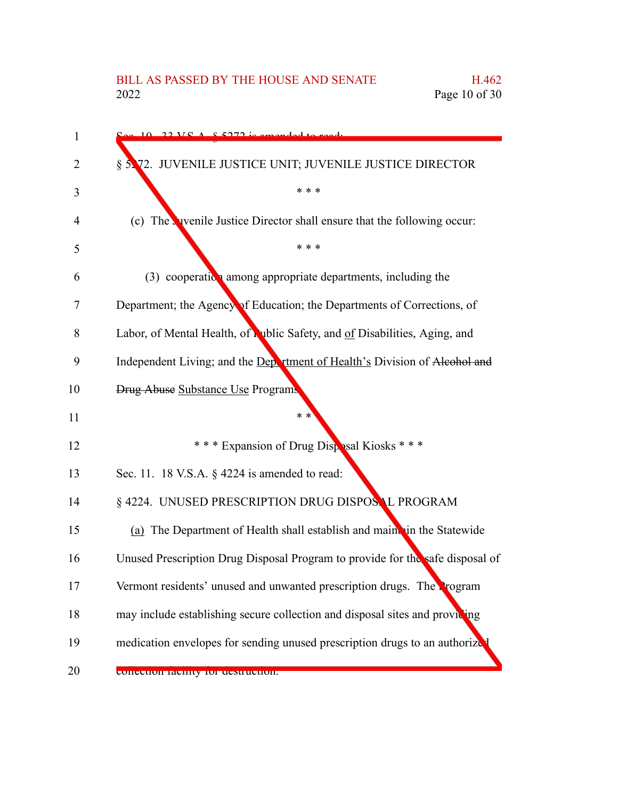| $\mathbf 1$ | $10.22$ VC A $8.5272$ is amonded to ready                                     |
|-------------|-------------------------------------------------------------------------------|
| 2           | § 5.72. JUVENILE JUSTICE UNIT; JUVENILE JUSTICE DIRECTOR                      |
| 3           | * * *                                                                         |
| 4           | (c) The vivenile Justice Director shall ensure that the following occur:      |
| 5           | * * *                                                                         |
| 6           | $(3)$ cooperation among appropriate departments, including the                |
| 7           | Department; the Agency of Education; the Departments of Corrections, of       |
| 8           | Labor, of Mental Health, of Lublic Safety, and of Disabilities, Aging, and    |
| 9           | Independent Living; and the Department of Health's Division of Alcohol and    |
| 10          | <b>Drug Abuse Substance Use Programs</b>                                      |
| 11          | $* *$                                                                         |
| 12          | *** Expansion of Drug Disposal Kiosks ***                                     |
| 13          | Sec. 11. 18 V.S.A. § 4224 is amended to read:                                 |
| 14          | § 4224. UNUSED PRESCRIPTION DRUG DISPOSAL PROGRAM                             |
| 15          | (a) The Department of Health shall establish and maint in the Statewide       |
| 16          | Unused Prescription Drug Disposal Program to provide for the safe disposal of |
| 17          | Vermont residents' unused and unwanted prescription drugs. The Program        |
| 18          | may include establishing secure collection and disposal sites and providing   |
| 19          | medication envelopes for sending unused prescription drugs to an authorize    |
| 20          | concentum racinty for destruction.                                            |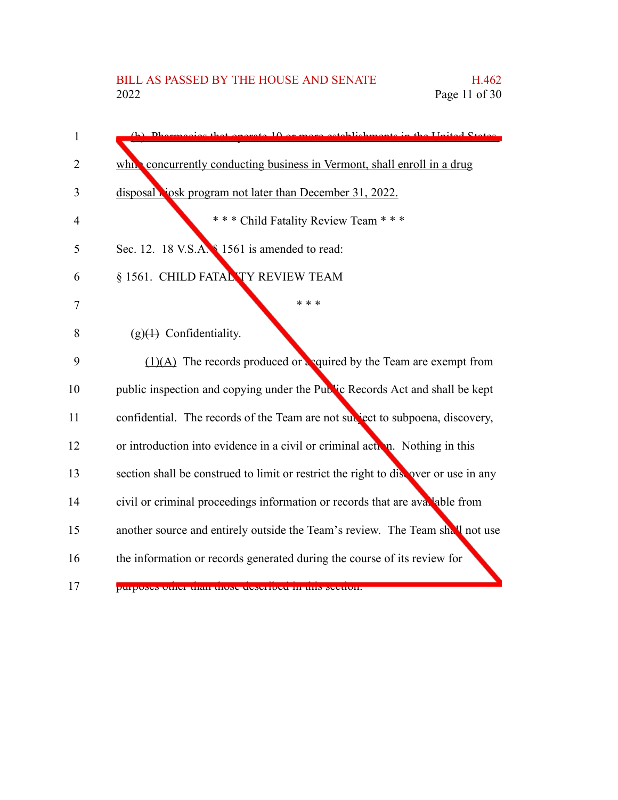| $\mathbf{1}$   | or more octoblishments in the United States<br>that operate $10$                    |
|----------------|-------------------------------------------------------------------------------------|
|                |                                                                                     |
| $\overline{2}$ | which concurrently conducting business in Vermont, shall enroll in a drug           |
| 3              | disposal viosk program not later than December 31, 2022.                            |
| 4              | *** Child Fatality Review Team ***                                                  |
| 5              | Sec. 12. 18 V.S.A. \$1561 is amended to read:                                       |
| 6              | § 1561. CHILD FATAL TY REVIEW TEAM                                                  |
| 7              | * * *                                                                               |
| 8              | $(g)(4)$ Confidentiality.                                                           |
| 9              | $(1)(A)$ The records produced or equired by the Team are exempt from                |
| 10             | public inspection and copying under the Public Records Act and shall be kept        |
| 11             | confidential. The records of the Team are not subject to subpoena, discovery,       |
| 12             | or introduction into evidence in a civil or criminal action. Nothing in this        |
| 13             | section shall be construed to limit or restrict the right to discover or use in any |
| 14             | civil or criminal proceedings information or records that are avaluable from        |
| 15             | another source and entirely outside the Team's review. The Team shall not use       |
| 16             | the information or records generated during the course of its review for            |
| 17             | purposes quier man mose aeserbed in uns secuent.                                    |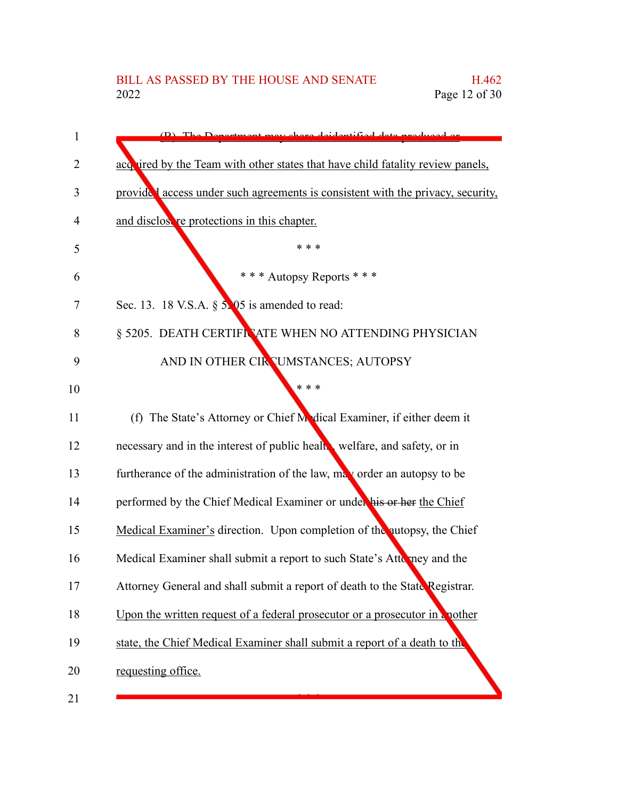| 1  | (D) The Department may share deidentified data produced on                      |
|----|---------------------------------------------------------------------------------|
| 2  | acq ired by the Team with other states that have child fatality review panels,  |
| 3  | provided access under such agreements is consistent with the privacy, security, |
| 4  | and disclose re protections in this chapter.                                    |
| 5  | * * *                                                                           |
| 6  | *** Autopsy Reports ***                                                         |
| 7  | Sec. 13. 18 V.S.A. $\S$ 5.05 is amended to read:                                |
| 8  | § 5205. DEATH CERTIFINATE WHEN NO ATTENDING PHYSICIAN                           |
| 9  | AND IN OTHER CIRCUMSTANCES; AUTOPSY                                             |
| 10 | * * *                                                                           |
| 11 | (f) The State's Attorney or Chief Medical Examiner, if either deem it           |
| 12 | necessary and in the interest of public healt welfare, and safety, or in        |
| 13 | furtherance of the administration of the law, may order an autopsy to be        |
| 14 | performed by the Chief Medical Examiner or under his or her the Chief           |
| 15 | Medical Examiner's direction. Upon completion of the autopsy, the Chief         |
| 16 | Medical Examiner shall submit a report to such State's Attomacy and the         |
| 17 | Attorney General and shall submit a report of death to the State Registrar.     |
| 18 | Upon the written request of a federal prosecutor or a prosecutor in a nother    |
| 19 | state, the Chief Medical Examiner shall submit a report of a death to the       |
| 20 | requesting office.                                                              |
| 21 |                                                                                 |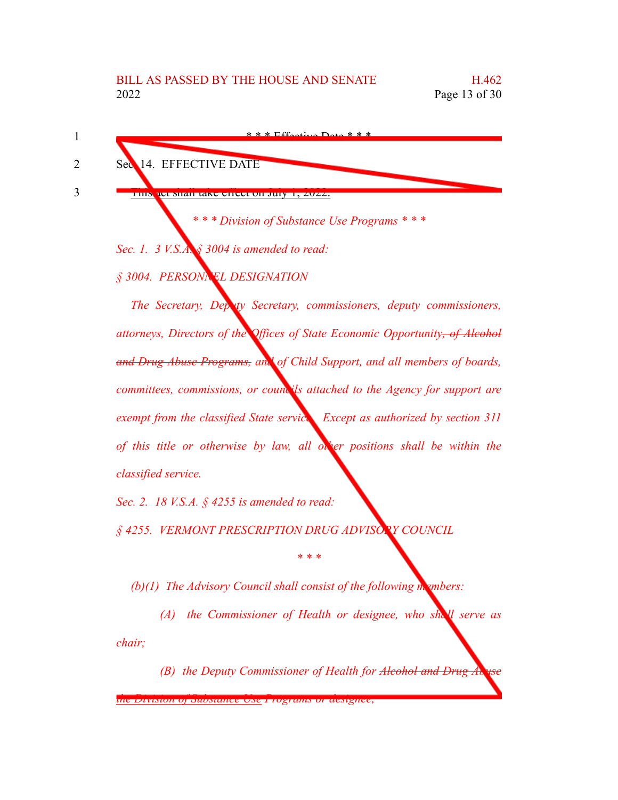| Sec 14. EFFECTIVE DATE                      |
|---------------------------------------------|
| ПІВ<br>jul shah lakt theul on Jul           |
| *** Division of Substance Use Programs ***  |
| Sec. 1. 3 V.S.A. § 3004 is amended to read: |

*§ 3004. PERSONNEL DESIGNATION*

*The Secretary, Deputy Secretary, commissioners, deputy commissioners, attorneys, Directors of the Offices of State Economic Opportunity, of Alcohol and Drug Abuse Programs, and of Child Support, and all members of boards, committees, commissions, or councils attached to the Agency for support are exempt from the classified State service. Except as authorized by section 311 of this title or otherwise by law, all other positions shall be within the classified service.*

*Sec. 2. 18 V.S.A. § 4255 is amended to read:*

*§ 4255. VERMONT PRESCRIPTION DRUG ADVISORY COUNCIL*

*(b)(1) The Advisory Council shall consist of the following members:*

*(A) the Commissioner of Health or designee, who shall serve as chair;*

*\* \* \**

*(B) the Deputy Commissioner of Health for Alcohol and Drug* 

*the Division of Substance Use Programs or designee;*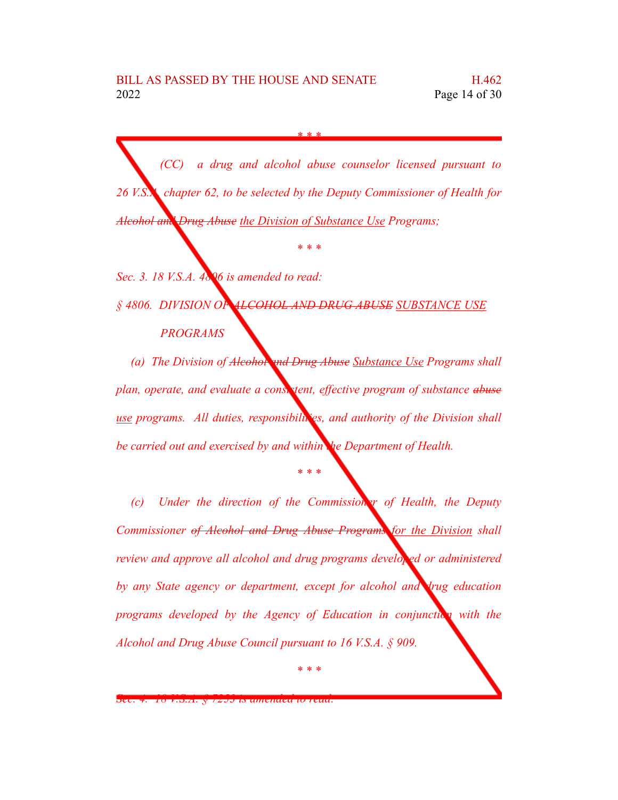*(CC) a drug and alcohol abuse counselor licensed pursuant to 26 V.S.A. chapter 62, to be selected by the Deputy Commissioner of Health for Alcohol and Drug Abuse the Division of Substance Use Programs;*

*\* \* \**

*Sec. 3. 18 V.S.A. 4806 is amended to read: § 4806. DIVISION OF ALCOHOL AND DRUG ABUSE SUBSTANCE USE PROGRAMS*

*(a) The Division of Alcohol and Drug Abuse Substance Use Programs shall plan, operate, and evaluate a consistent, effective program of substance abuse use programs.* All *duties, responsibilities, and authority of the Division shall be carried out and exercised by and within the Department of Health.*

*\* \* \**

*(c) Under the direction of the Commissioner of Health, the Deputy Commissioner of Alcohol and Drug Abuse Programs for the Division shall review and approve all alcohol and drug programs developed or administered by any State agency or department, except for alcohol and drug education programs developed by the Agency of Education in conjunction with the Alcohol and Drug Abuse Council pursuant to 16 V.S.A. § 909.*

*Sec. 4. 18 V.S.A. § 7253 is amended to read:*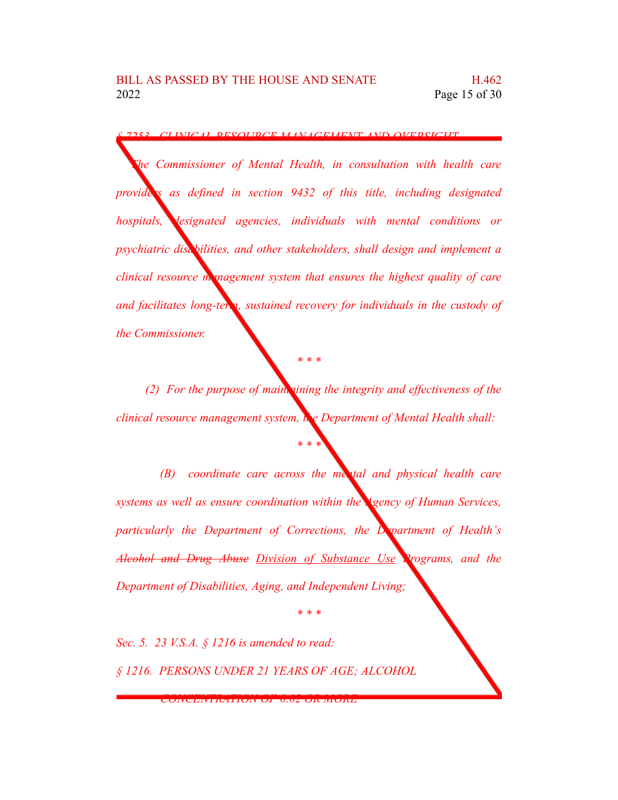*§ 7253. CLINICAL RESOURCE MANAGEMENT AND OVERSIGHT*

*The Commissioner of Mental Health, in consultation with health care providers as defined in section 9432 of this title, including designated hospitals, designated agencies, individuals with mental conditions or psychiatric disabilities, and other stakeholders, shall design and implement a clinical resource mmagement system that ensures the highest quality of care and facilitates long-term, sustained recovery for individuals in the custody of the Commissioner.*

*(2) For the purpose of maintaining the integrity and effectiveness of the clinical resource management system, the Department of Mental Health shall:*

*\* \* \**

*\* \* \**

*(B) coordinate care across the mental and physical health care systems as well as ensure coordination within the Agency of Human Services, particularly the Department of Corrections, the Department of Health's Alcohol and Drug Abuse Division of Substance Use Programs, and the Department of Disabilities, Aging, and Independent Living;*

*\* \* \**

*Sec. 5. 23 V.S.A. § 1216 is amended to read: § 1216. PERSONS UNDER 21 YEARS OF AGE; ALCOHOL*

*CONCENTRATION OF 0.02 OR MORE*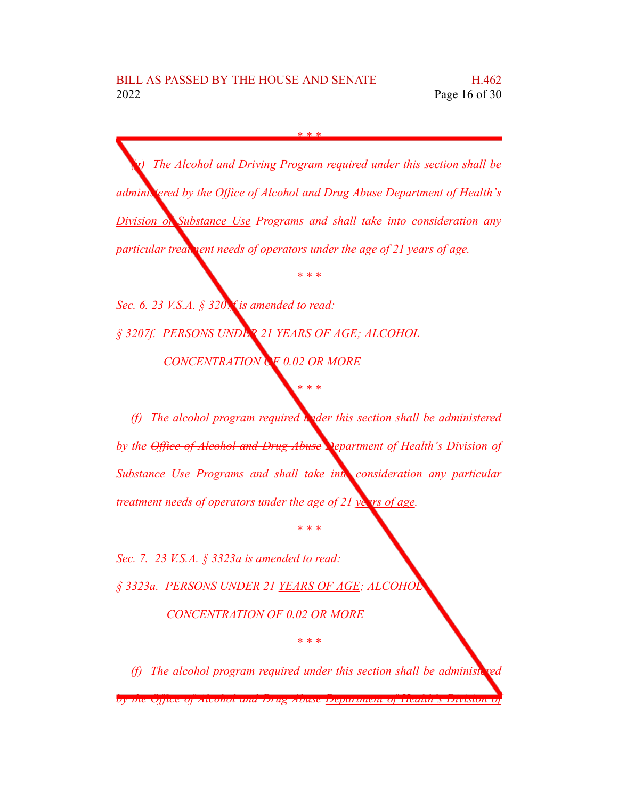*(g) The Alcohol and Driving Program required under this section shall be administered by the Office of Alcohol and Drug Abuse Department of Health's Division of Substance Use Programs and shall take into consideration any particular treatment needs of operators under the age of* 21 *years of age.* 

*\* \* \**

*Sec. 6. 23 V.S.A. § 3207f is amended to read: § 3207f. PERSONS UNDER 21 YEARS OF AGE; ALCOHOL CONCENTRATION OF 0.02 OR MORE*

*(f) The alcohol program required under this section shall be administered by the Office of Alcohol and Drug Abuse Department of Health's Division of Substance Use Programs and shall take into consideration any particular treatment needs of operators under the age of 21 years of age.*

*\* \* \**

*\* \* \**

*Sec. 7. 23 V.S.A. § 3323a is amended to read: § 3323a. PERSONS UNDER 21 YEARS OF AGE; ALCOHOL CONCENTRATION OF 0.02 OR MORE*

*(f)* The alcohol program required under this section shall be administed-

*\* \* \**

*by the Office of Alcohol and Drug Abuse Department of Health's Division of*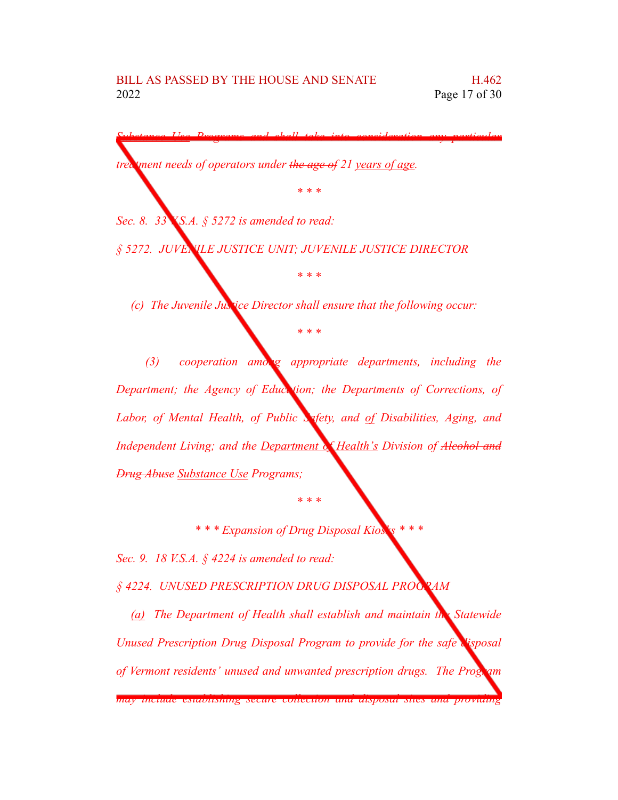*Substance Use Programs and shall take into consideration any particular*

*\* \* \**

*treatment needs of operators under the age of 21 years of age.*

*Sec. 8. 33 V.S.A. § 5272 is amended to read:*

*§ 5272. JUVENILE JUSTICE UNIT; JUVENILE JUSTICE DIRECTOR*

*(c) The Juvenile Justice Director shall ensure that the following occur:*

*\* \* \**

*\* \* \**

*(3) cooperation among appropriate departments, including the Department; the Agency of Education; the Departments of Corrections, of Labor, of Mental Health, of Public Safety, and of Disabilities, Aging, and Independent Living; and the Department of Health's Division of Alcohol and Drug Abuse Substance Use Programs;*

*\** \* *\* Expansion of Drug Disposal Kios* 

*\* \* \**

*Sec. 9. 18 V.S.A. § 4224 is amended to read:*

*§ 4224. UNUSED PRESCRIPTION DRUG DISPOSAL PROGRAM*

*(a) The Department of Health shall establish and maintain the Statewide Unused Prescription Drug Disposal Program to provide for the safe disposal of Vermont residents' unused and unwanted prescription drugs. The Program*

*may include establishing secure collection and disposal sites and providing*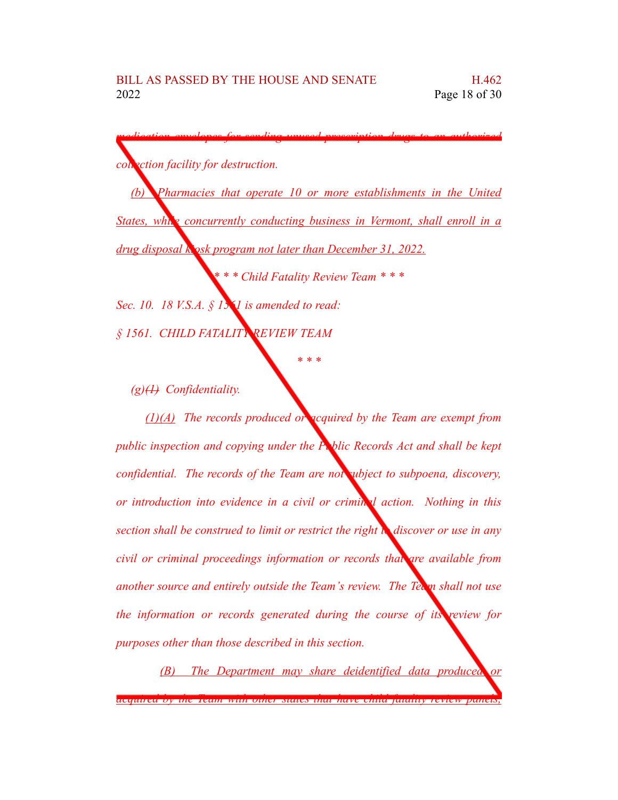| collection facility for destruction.                                         |
|------------------------------------------------------------------------------|
| Pharmacies that operate 10 or more establishments in the United<br>(b)       |
| States, while concurrently conducting business in Vermont, shall enroll in a |
| drug disposal kosk program not later than December 31, 2022.                 |
| *** Child Fatality Review Team ***                                           |
| Sec. 10. 18 V.S.A. $\S$ 15 1 is amended to read:                             |
| § 1561. CHILD FATALITY REVIEW TEAM                                           |

*(g)(1) Confidentiality.*

*(1)(A) The records produced or acquired by the Team are exempt from public inspection and copying under the Public Records Act and shall be kept confidential. The records of the Team are not subject to subpoena, discovery, or introduction into evidence in a civil or criminal action. Nothing in this section shall be construed to limit or restrict the right to discover or use in any civil or criminal proceedings information or records that are available from another source and entirely outside the Team's review. The Team shall not use the information or records generated during the course of its review for purposes other than those described in this section.*

*(B) The Department may share deidentified data produced or acquired by the Team with other states that have child fatality review panels,*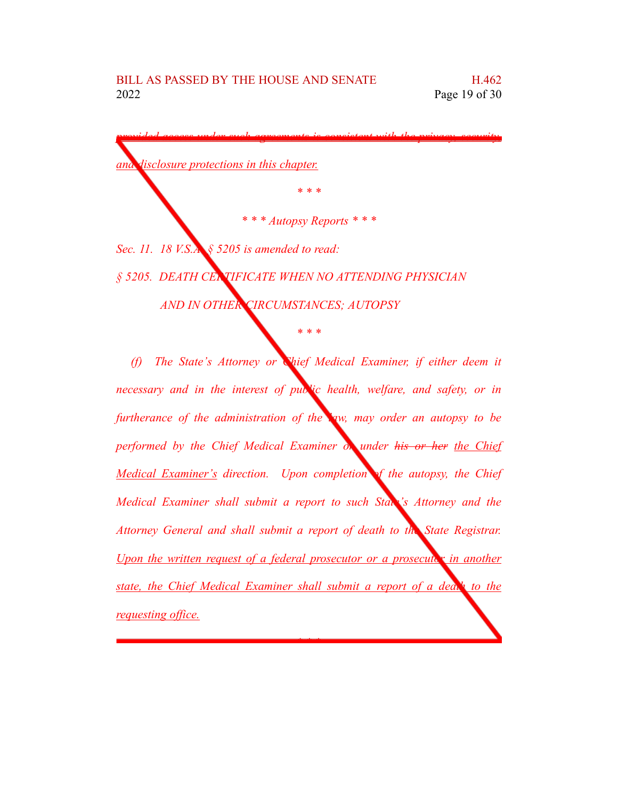*provided access under such agreements is consistent with the privacy, security, and disclosure protections in this chapter. \* \* \* \* \* \* Autopsy Reports \* \* \* Sec. 11. 18 V.S.A. § 5205 is amended to read: § 5205. DEATH CERTIFICATE WHEN NO ATTENDING PHYSICIAN AND IN OTHER CIRCUMSTANCES; AUTOPSY \* \* \* (f) The State's Attorney or Chief Medical Examiner, if either deem it necessary and in the interest of public health, welfare, and safety, or in furtherance of the administration of the law, may order an autopsy to be performed by the Chief Medical Examiner or under his or her the Chief Medical Examiner's direction. Upon completion of the autopsy, the Chief Medical Examiner shall submit a report to such State's Attorney and the Attorney General and shall submit a report of death to the State Registrar. Upon the written request of a federal prosecutor or a prosecutor in another state, the Chief Medical Examiner shall submit a report of a death to the requesting office.*

*\* \* \**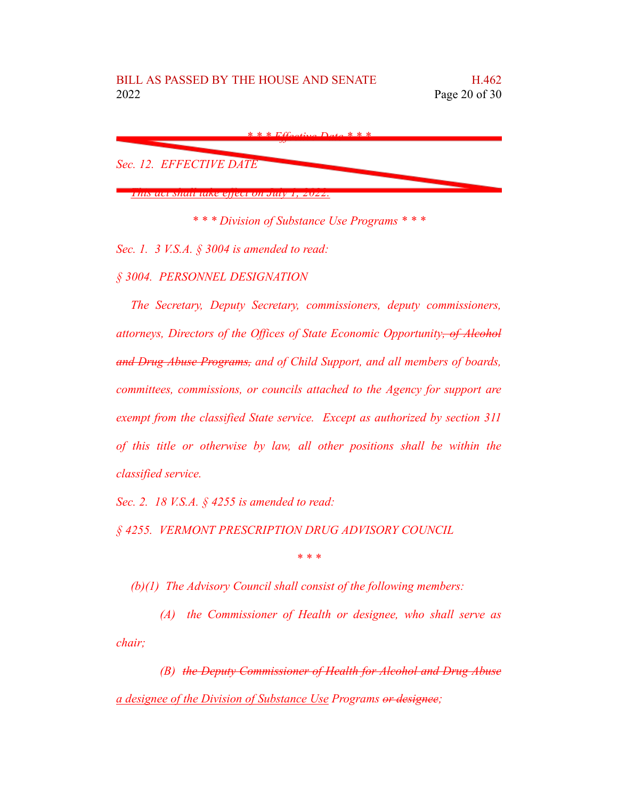

*\* \* \* Division of Substance Use Programs \* \* \**

*Sec. 1. 3 V.S.A. § 3004 is amended to read:*

*§ 3004. PERSONNEL DESIGNATION*

*The Secretary, Deputy Secretary, commissioners, deputy commissioners, attorneys, Directors of the Offices of State Economic Opportunity, of Alcohol and Drug Abuse Programs, and of Child Support, and all members of boards, committees, commissions, or councils attached to the Agency for support are exempt from the classified State service. Except as authorized by section 311 of this title or otherwise by law, all other positions shall be within the classified service.*

*Sec. 2. 18 V.S.A. § 4255 is amended to read:*

*§ 4255. VERMONT PRESCRIPTION DRUG ADVISORY COUNCIL*

*\* \* \**

*(b)(1) The Advisory Council shall consist of the following members:*

*(A) the Commissioner of Health or designee, who shall serve as chair;*

*(B) the Deputy Commissioner of Health for Alcohol and Drug Abuse a designee of the Division of Substance Use Programs or designee;*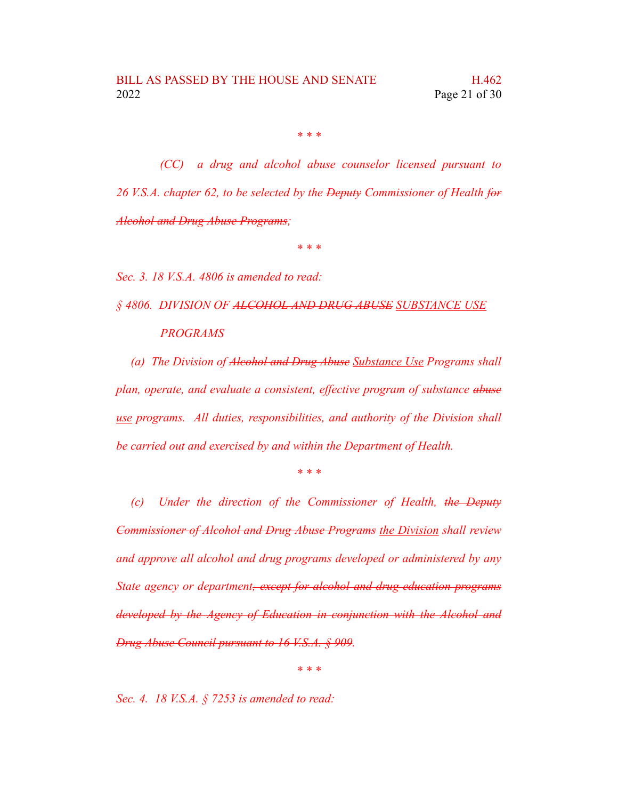*(CC) a drug and alcohol abuse counselor licensed pursuant to 26 V.S.A. chapter 62, to be selected by the Deputy Commissioner of Health for Alcohol and Drug Abuse Programs;*

*\* \* \**

*Sec. 3. 18 V.S.A. 4806 is amended to read:*

*§ 4806. DIVISION OF ALCOHOL AND DRUG ABUSE SUBSTANCE USE PROGRAMS*

*(a) The Division of Alcohol and Drug Abuse Substance Use Programs shall plan, operate, and evaluate a consistent, effective program of substance abuse use programs. All duties, responsibilities, and authority of the Division shall be carried out and exercised by and within the Department of Health.*

*\* \* \**

*(c) Under the direction of the Commissioner of Health, the Deputy Commissioner of Alcohol and Drug Abuse Programs the Division shall review and approve all alcohol and drug programs developed or administered by any State agency or department, except for alcohol and drug education programs developed by the Agency of Education in conjunction with the Alcohol and Drug Abuse Council pursuant to 16 V.S.A. § 909.*

*\* \* \**

*Sec. 4. 18 V.S.A. § 7253 is amended to read:*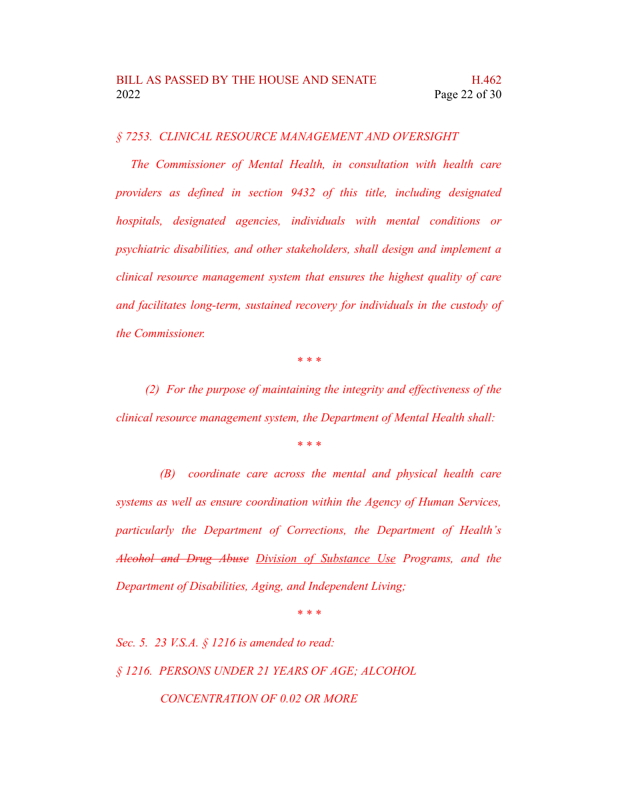*§ 7253. CLINICAL RESOURCE MANAGEMENT AND OVERSIGHT*

*The Commissioner of Mental Health, in consultation with health care providers as defined in section 9432 of this title, including designated hospitals, designated agencies, individuals with mental conditions or psychiatric disabilities, and other stakeholders, shall design and implement a clinical resource management system that ensures the highest quality of care and facilitates long-term, sustained recovery for individuals in the custody of the Commissioner.*

*\* \* \**

*(2) For the purpose of maintaining the integrity and effectiveness of the clinical resource management system, the Department of Mental Health shall:*

*\* \* \**

*(B) coordinate care across the mental and physical health care systems as well as ensure coordination within the Agency of Human Services, particularly the Department of Corrections, the Department of Health's Alcohol and Drug Abuse Division of Substance Use Programs, and the Department of Disabilities, Aging, and Independent Living;*

*\* \* \**

*Sec. 5. 23 V.S.A. § 1216 is amended to read: § 1216. PERSONS UNDER 21 YEARS OF AGE; ALCOHOL CONCENTRATION OF 0.02 OR MORE*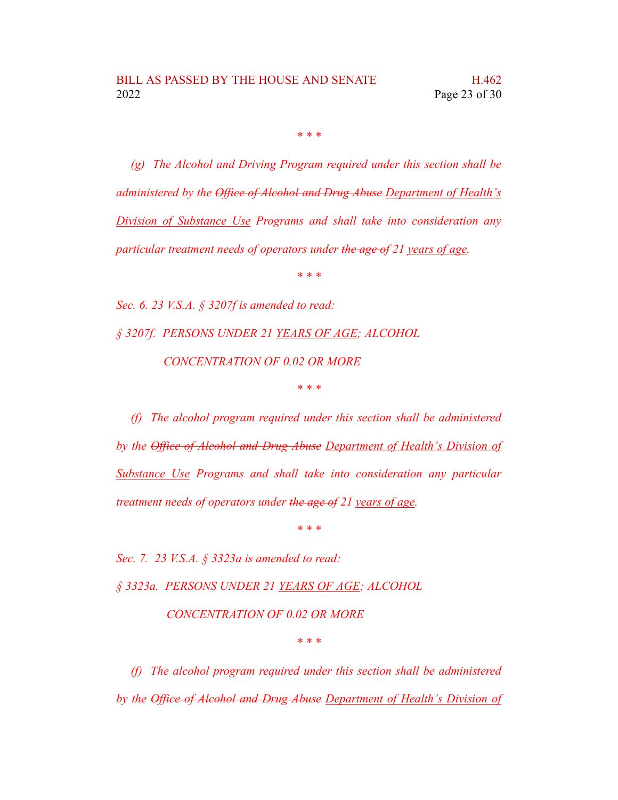*(g) The Alcohol and Driving Program required under this section shall be administered by the Office of Alcohol and Drug Abuse Department of Health's Division of Substance Use Programs and shall take into consideration any particular treatment needs of operators under the age of 21 years of age.*

*\* \* \**

*Sec. 6. 23 V.S.A. § 3207f is amended to read: § 3207f. PERSONS UNDER 21 YEARS OF AGE; ALCOHOL CONCENTRATION OF 0.02 OR MORE \* \* \**

*(f) The alcohol program required under this section shall be administered by the Office of Alcohol and Drug Abuse Department of Health's Division of Substance Use Programs and shall take into consideration any particular treatment needs of operators under the age of 21 years of age.*

*\* \* \**

*Sec. 7. 23 V.S.A. § 3323a is amended to read:*

*§ 3323a. PERSONS UNDER 21 YEARS OF AGE; ALCOHOL*

*CONCENTRATION OF 0.02 OR MORE*

*\* \* \**

*(f) The alcohol program required under this section shall be administered by the Office of Alcohol and Drug Abuse Department of Health's Division of*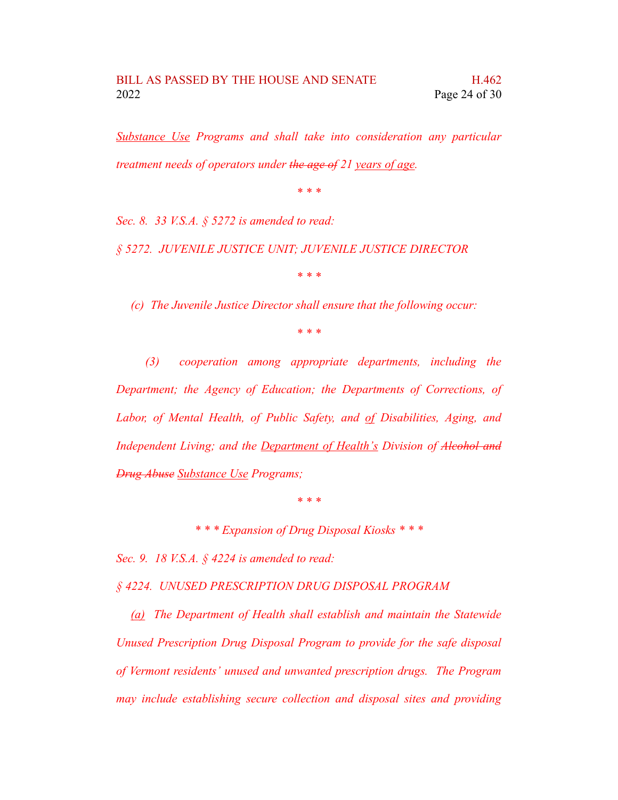*Substance Use Programs and shall take into consideration any particular treatment needs of operators under the age of 21 years of age.*

*\* \* \**

*Sec. 8. 33 V.S.A. § 5272 is amended to read:*

*§ 5272. JUVENILE JUSTICE UNIT; JUVENILE JUSTICE DIRECTOR*

*\* \* \**

*(c) The Juvenile Justice Director shall ensure that the following occur:*

*\* \* \**

*(3) cooperation among appropriate departments, including the Department; the Agency of Education; the Departments of Corrections, of Labor, of Mental Health, of Public Safety, and of Disabilities, Aging, and Independent Living; and the Department of Health's Division of Alcohol and Drug Abuse Substance Use Programs;*

*\* \* \**

*\* \* \* Expansion of Drug Disposal Kiosks \* \* \**

*Sec. 9. 18 V.S.A. § 4224 is amended to read:*

*§ 4224. UNUSED PRESCRIPTION DRUG DISPOSAL PROGRAM*

*(a) The Department of Health shall establish and maintain the Statewide Unused Prescription Drug Disposal Program to provide for the safe disposal of Vermont residents' unused and unwanted prescription drugs. The Program may include establishing secure collection and disposal sites and providing*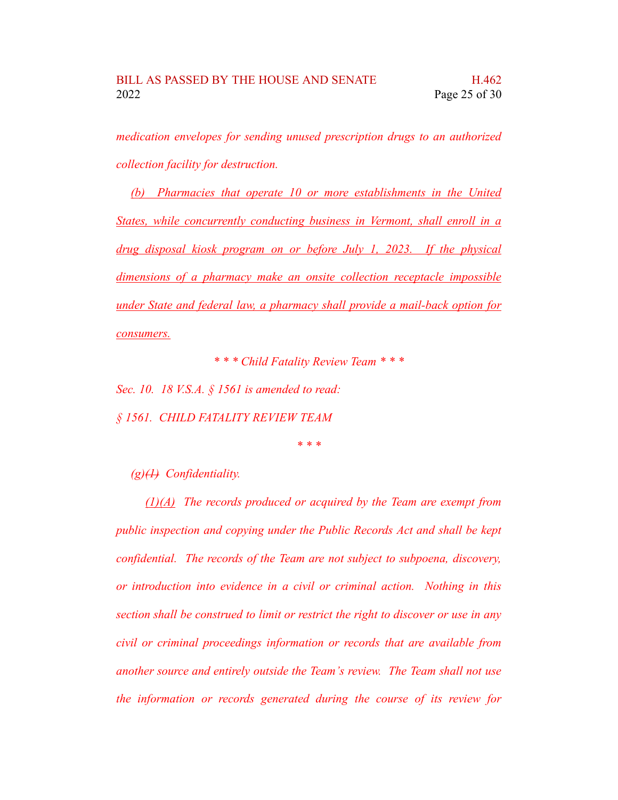*medication envelopes for sending unused prescription drugs to an authorized collection facility for destruction.*

*(b) Pharmacies that operate 10 or more establishments in the United States, while concurrently conducting business in Vermont, shall enroll in a drug disposal kiosk program on or before July 1, 2023. If the physical dimensions of a pharmacy make an onsite collection receptacle impossible under State and federal law, a pharmacy shall provide a mail-back option for consumers.*

*\* \* \* Child Fatality Review Team \* \* \**

*Sec. 10. 18 V.S.A. § 1561 is amended to read: § 1561. CHILD FATALITY REVIEW TEAM*

*\* \* \**

*(g)(1) Confidentiality.*

*(1)(A) The records produced or acquired by the Team are exempt from public inspection and copying under the Public Records Act and shall be kept confidential. The records of the Team are not subject to subpoena, discovery, or introduction into evidence in a civil or criminal action. Nothing in this section shall be construed to limit or restrict the right to discover or use in any civil or criminal proceedings information or records that are available from another source and entirely outside the Team's review. The Team shall not use the information or records generated during the course of its review for*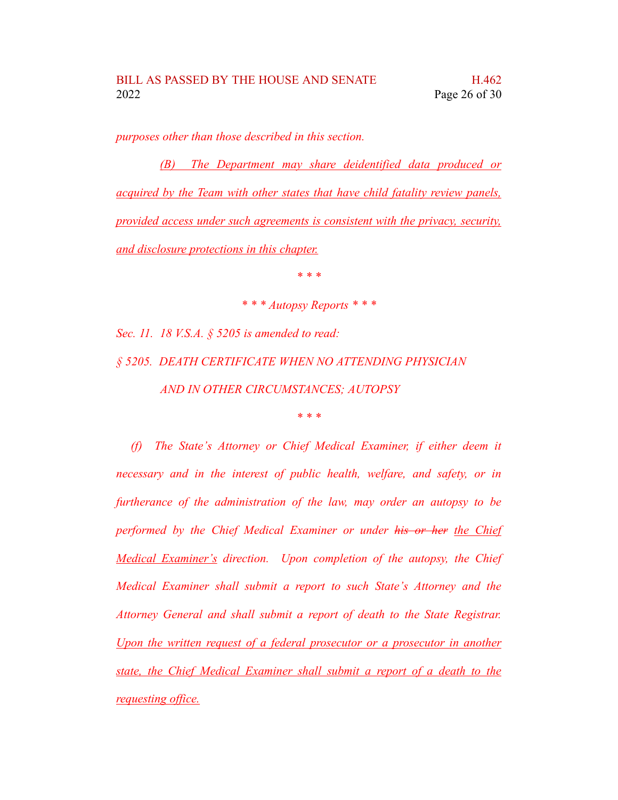*purposes other than those described in this section.*

*(B) The Department may share deidentified data produced or acquired by the Team with other states that have child fatality review panels, provided access under such agreements is consistent with the privacy, security, and disclosure protections in this chapter.*

*\* \* \**

*\* \* \* Autopsy Reports \* \* \**

*Sec. 11. 18 V.S.A. § 5205 is amended to read: § 5205. DEATH CERTIFICATE WHEN NO ATTENDING PHYSICIAN AND IN OTHER CIRCUMSTANCES; AUTOPSY*

*\* \* \**

*(f) The State's Attorney or Chief Medical Examiner, if either deem it necessary and in the interest of public health, welfare, and safety, or in furtherance of the administration of the law, may order an autopsy to be performed by the Chief Medical Examiner or under his or her the Chief Medical Examiner's direction. Upon completion of the autopsy, the Chief Medical Examiner shall submit a report to such State's Attorney and the Attorney General and shall submit a report of death to the State Registrar. Upon the written request of a federal prosecutor or a prosecutor in another state, the Chief Medical Examiner shall submit a report of a death to the requesting office.*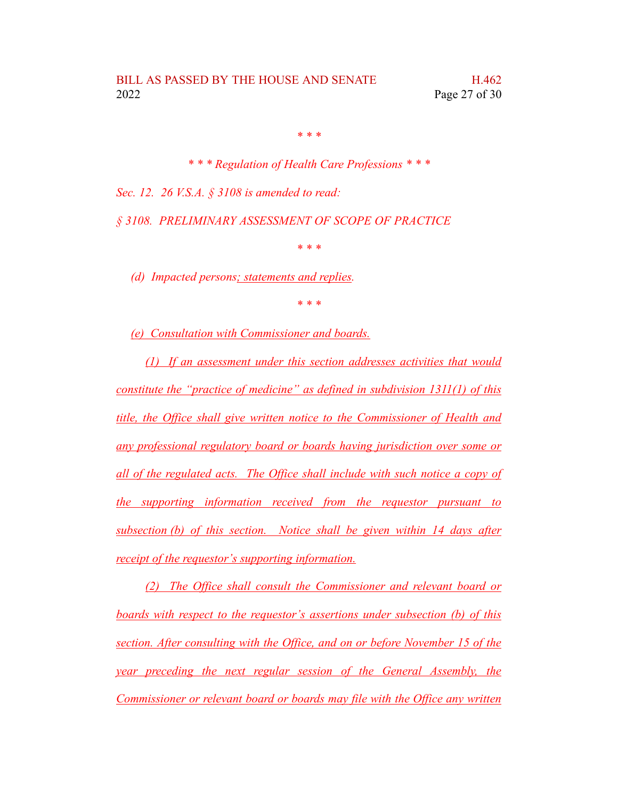*\* \* \* Regulation of Health Care Professions \* \* \* Sec. 12. 26 V.S.A. § 3108 is amended to read:*

*§ 3108. PRELIMINARY ASSESSMENT OF SCOPE OF PRACTICE*

*\* \* \**

*(d) Impacted persons; statements and replies.*

*\* \* \**

*(e) Consultation with Commissioner and boards.*

*(1) If an assessment under this section addresses activities that would constitute the "practice of medicine" as defined in subdivision 1311(1) of this title, the Office shall give written notice to the Commissioner of Health and any professional regulatory board or boards having jurisdiction over some or all of the regulated acts. The Office shall include with such notice a copy of the supporting information received from the requestor pursuant to subsection (b) of this section. Notice shall be given within 14 days after receipt of the requestor's supporting information.*

*(2) The Office shall consult the Commissioner and relevant board or boards with respect to the requestor's assertions under subsection (b) of this section. After consulting with the Office, and on or before November 15 of the year preceding the next regular session of the General Assembly, the Commissioner or relevant board or boards may file with the Office any written*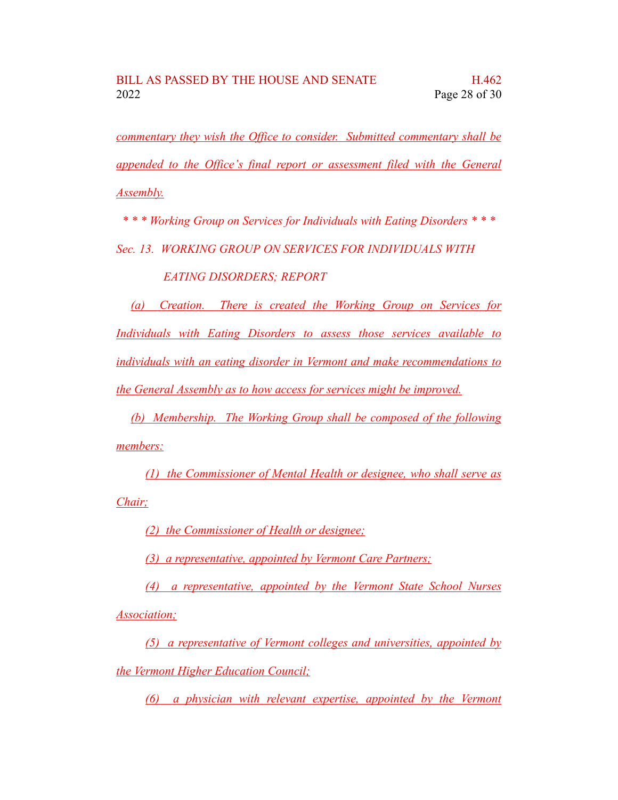*commentary they wish the Office to consider. Submitted commentary shall be appended to the Office's final report or assessment filed with the General Assembly.*

*\* \* \* Working Group on Services for Individuals with Eating Disorders \* \* \**

*Sec. 13. WORKING GROUP ON SERVICES FOR INDIVIDUALS WITH*

## *EATING DISORDERS; REPORT*

*(a) Creation. There is created the Working Group on Services for Individuals with Eating Disorders to assess those services available to individuals with an eating disorder in Vermont and make recommendations to the General Assembly as to how access for services might be improved.*

*(b) Membership. The Working Group shall be composed of the following members:*

*(1) the Commissioner of Mental Health or designee, who shall serve as Chair;*

*(2) the Commissioner of Health or designee;*

*(3) a representative, appointed by Vermont Care Partners;*

*(4) a representative, appointed by the Vermont State School Nurses Association;*

*(5) a representative of Vermont colleges and universities, appointed by the Vermont Higher Education Council;*

*(6) a physician with relevant expertise, appointed by the Vermont*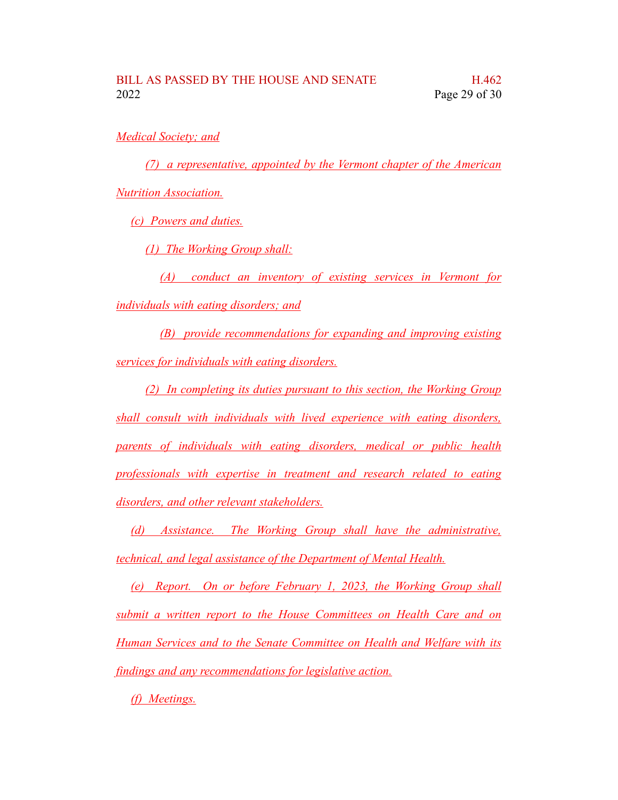*Medical Society; and*

*(7) a representative, appointed by the Vermont chapter of the American Nutrition Association.*

*(c) Powers and duties.*

*(1) The Working Group shall:*

*(A) conduct an inventory of existing services in Vermont for individuals with eating disorders; and*

*(B) provide recommendations for expanding and improving existing services for individuals with eating disorders.*

*(2) In completing its duties pursuant to this section, the Working Group shall consult with individuals with lived experience with eating disorders, parents of individuals with eating disorders, medical or public health professionals with expertise in treatment and research related to eating disorders, and other relevant stakeholders.*

*(d) Assistance. The Working Group shall have the administrative, technical, and legal assistance of the Department of Mental Health.*

*(e) Report. On or before February 1, 2023, the Working Group shall submit a written report to the House Committees on Health Care and on Human Services and to the Senate Committee on Health and Welfare with its findings and any recommendations for legislative action.*

*(f) Meetings.*